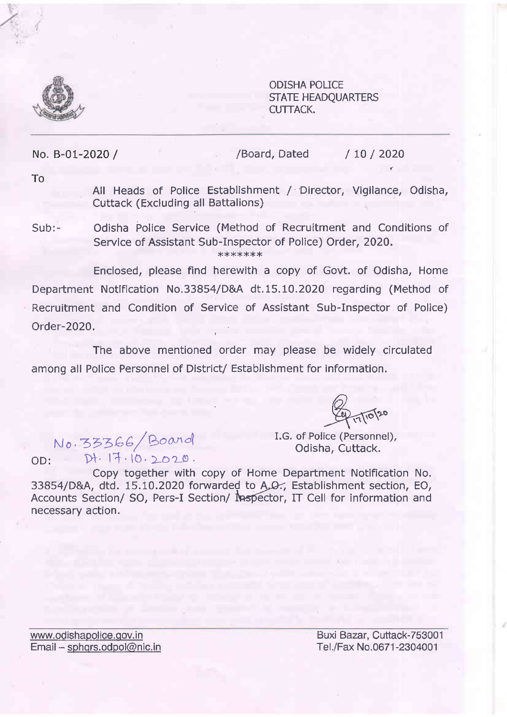

ODISHA POLICE STATE HEADQUARTERS CUTTACK.

No. B-01-2020 /

/Board, Dated / 10 / 2020

To

All Heads of Police Establishment / Director, Vigilance, Odisha, Cuttack (Excluding all Battalions)

Odisha Police Service (Method of Recruitment and Conditions of Service of Assistant Sub-Inspector of Police) Order, 2020. x\*\*\*\*\*\* Sub:-

Enclosed, please find herewith a copy of Govt. of Odisha, Home Department Notification No.33854/D&A dt.15.10.2020 regarding (Method of Recruitment and Condition of Service of Assistant Sub-Inspector of Police) Order-2020.

The above mentioned order may please be widely circulated among all Police Personnel of District/ Establishment for information.

 $\widehat{\varphi}$ 

No. 33366/Board<br>Odisha, Cuttack.  $OD:$   $Df. 17.10.2020$ .

I.G. of Police (Personnel),

Copy together with copy of Home Department Notification No. 33854/D&A, dtd. 15.10.2020 forwarded to A.O., Establishment section, EO, Accounts Section/ SO, Pers-I Section/ Mespector, IT Cell for information and necessary action.

www.odishapolice.gov.in Email - sphqrs.odpol@nic.in

Buxi Bazar, Cuttack-753001 Tel./Fax No.0671 -2304001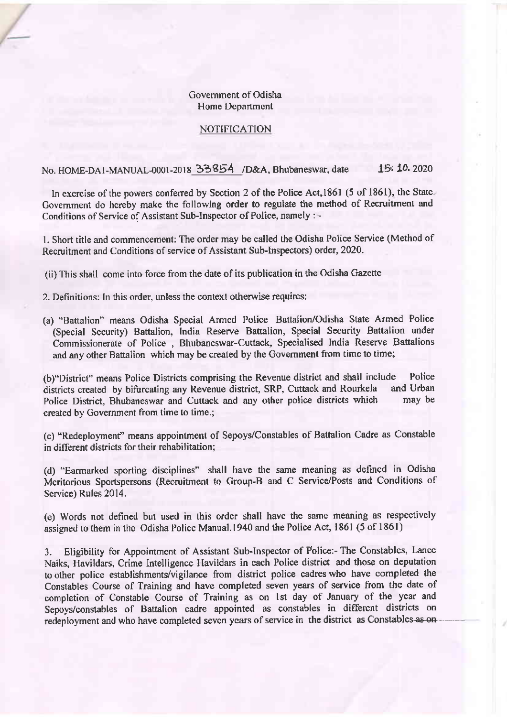## Government of Odisha Home Department

## NOTIFICATION

No. HOME-DAI-MANUAL-0001-2018 33854 /D&A, Bhubaneswar, date 15: 10. 2020

In excrcise of the powers conferred by Section 2 of the Police Act, 1861 (5 of 1861), the State. Covemment do hereby makc thc following order to regulate the method of Recruitment and Conditions of Service of Assistant Sub-Inspector of Police, namely : -

l. Short title and comrnencement: The order may be called the Odisha Police Service (Method of Recruitmcnt and Conditions of service of Assistant Sub-Inspectors) order, 2020.

(ii) This shall come into force from the date of its publication in the Odisha Gazette

2. Definitions: ln this order, unless the context otherwise requircs:

(a) "Battalion" means Odisha Special Armed Police Battalion/Odisha State Armed Police (Special Sccurity) Battalion, India Reserve Batalion, Special Security Battalion under Commissionerate of Police , Bhubaneswar-Cuttack, Specialised India Reserve Battalions and any other Battalion which may be created by the Govemrnent from time to time;

(b)"District" means Police Districts comprising the Revenue district and shall include Police<br>districts created by hifurcating any Revenue district. SRP. Cuttack and Rourkela and Urban districts created by bifurcating any Revenue district, SRP, Cuttack and Rourkela and Urban<br>Police District, Bhuhaneswar and Cuttack and any other police districts which may be Police District, Bhubaneswar and Cuttack and any other police districts which creatcd by Government from time to time,;

(c) "Redeployment" means appointment of Sepoys/Constables of Battalion Cadre as Constable in different districts for their rehabilitation;

(d) "Farmarkcd sporting disciplines" shall have the same meaning as defined in Odisha Meritorious Sportspersons (Recruitment to Group-B and C Service/Posts and Conditions of Scrvice) Rules 2014.

(e) Words not defined but used in this order shall have the samc meaning as respectively assigned to them in the Odisha Police Manual.1940 and the Police Act, 1861 (5 of 1861)

3. Eligibility for Appointment of Assistant Sub-Inspector of Police:- The Constables, Lance Naiks, Havildars, Crime Intelligence llavildars in cach Police district and those on deputation to other police establishments/vigilance from district police cadres who have completed the Constables Course of Training and have completed seven years of service from the date of completion of Constable Course of Training as on lst day of January of the year and Sepoys/constables of Battalion cadre appointed as constables in different districts on redeployment and who have completed seven years of service in the district as Constables as on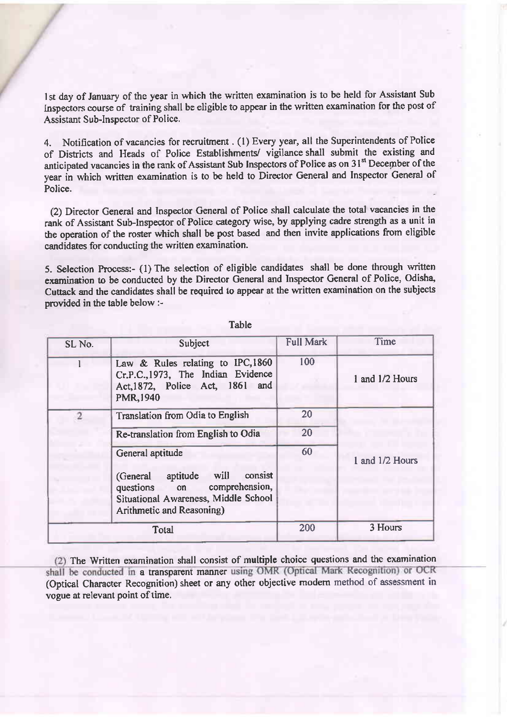'lst day of January of the year in which the written examination is to be held for Assistant Sub Inspectors course of training shall be eligible to appear in the written examination for the post of Assistant Sub-Inspector of Police.

4. Notification of vacancies for recruitment . (l) Every year, all the Superintendents of Police of Districts and Heads of Police Establishments/ vigilance shall submit the existing and anticipated vacancies in the rank of Assistant Sub Inspectors of Police as on  $31<sup>st</sup>$  December of the year in which written examination is to be held to Director General and Inspector General of Police.

(2) Director General and Inspector General of Police shall calculate the total vacancies in the rank of Assistant Sub-Inspector of Police category wise, by applying cadre strength as a unit in the operation of the roster which shall be post based and then invite applications from eligible candidates for conducting the written examination.

5. Selection Process:- (1) The selection of eligible candidates shall be done through written examination to be conducted by the Director General and Inspector General of Police, Odisha, Cuttack and the candidates shall be required to appear at the written examination on the subjects provided in the table below :-

| SL No.         | Subject                                                                                                                                                      | <b>Full Mark</b> | Time            |
|----------------|--------------------------------------------------------------------------------------------------------------------------------------------------------------|------------------|-----------------|
|                | Law & Rules relating to IPC,1860<br>Cr.P.C., 1973, The Indian Evidence<br>Act, 1872, Police Act, 1861 and<br>PMR, 1940                                       | 100              | 1 and 1/2 Hours |
| $\overline{2}$ | Translation from Odia to English                                                                                                                             | 20               |                 |
|                | Re-translation from English to Odia                                                                                                                          | 20               |                 |
|                | General aptitude<br>aptitude will<br>consist<br>(General<br>questions on comprehension,<br>Situational Awareness, Middle School<br>Arithmetic and Reasoning) | 60               | 1 and 1/2 Hours |
| Total          |                                                                                                                                                              | 200              | 3 Hours         |

Table

The Written examination shall consist of multiple choice questions and thc examination shall be conducted in a transparent manner using OMR (Optical Mark Recognition) or OCR (Optical Character Recognition) sheet or any other objective modern method of assessment invogue at relevant point of time.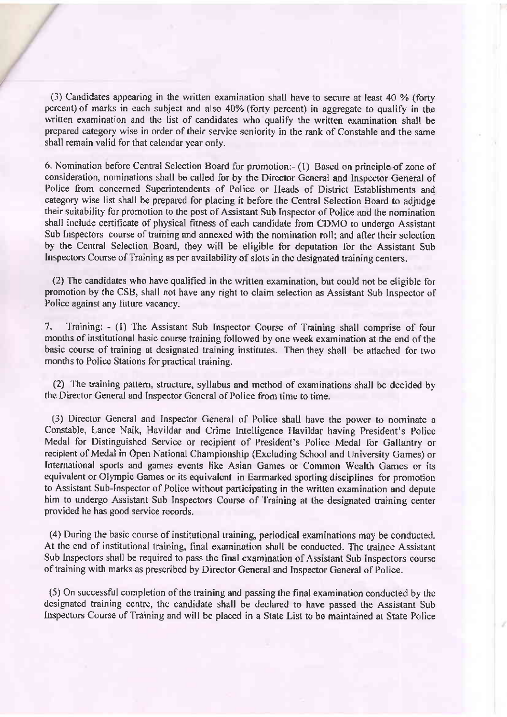(3) Candidates appearing in the written examination shall have to secure at least 40 Vo {forty percent) of marks in each subject and also 40% (forty percent) in aggregate to qualify in the written examination and the list of candidates who qualify the written examination shall be prcpared category wise in order of their servicc scniority in the rank of Constable and the same shall remain valid for that calendar ycar only.

6. Nomination before Central Selection Board for promotion:- (l) Based on principle of zonc of consideration, nominations shall be called for by the Director General and Inspector General of Police from concerned Superintendents of Police or Heads of District Establishments and category wise list shall be prepared for placing it before the Central Selection Board to adjudge their suitability for promotion to the post of Assistant Sub Inspector of Police and the nomination shall include certificate of physical fitness of each candidate from CDMO to undergo Assistant Sub Inspectors course of training and annexed with the nomination roll; and after their selection by the Ccntral Selection Board. they will be eligible for dcputation for the Assistant Sub Inspectors Course of Training as per availability of slots in the designated training centers.

(2) The candidates who have qualified in thc written examination, but could not be eligible lor promotion by the CSB, shall not have any right to claim selection as Assistant Sub Inspector of Police against any future vacancy.

7. Training: - (1) The Assistant Sub Inspector Course of Training shall comprise of four months of institutional basic course training followed by one week examination at the end of the basic course of training at designated training institutes. Then they shall be attached for two months to Police Stations for practical training.

(2) 'l'he training pattern, structure, syllabus and method of cxaminations shall be decided by the Director General and Inspector General of Police from time to time.

(3) Director General and Inspector General of Police shall have the power to nominate a Constable, Lance Naik, Havildar and Crime lntelligence Ilavildar having President's Policc Medal for Distinguished Service or recipient of President's Police Medal for Gallantry or recipient of Medal in Open National Oharnpionship (Excluding School and LJniversity Games) or International sports and games events like Asian Games or Common Wealth Games or its equivalent or Olympic Games or its equivalent in Earmarked sporting disciplines for promotion to Assistant Sub-Inspector of Police without participating in the written examination and depute him to undergo Assistant Sub Inspectors Course of 'l'raining at the designated training center provided he has good service rccords.

(4) During the basic course oFinstitutional training, periodical examinations may be conducted. At the end of institutional training, final examination shall be conducted. The trainee Assistant Sub Inspectors shall be required to pass the final examination of Assistant Sub Inspectors course of training with marks as prescribcd by Director Ceneral and Inspector Geneml of Police.

(5) On successful completion of the training and passing the final examination conducted by tic designated training centre, the candidate shall be declared to have passed the Assistant Sub lnspectors Course of Training and will be placed in a State List to be maintained at State Police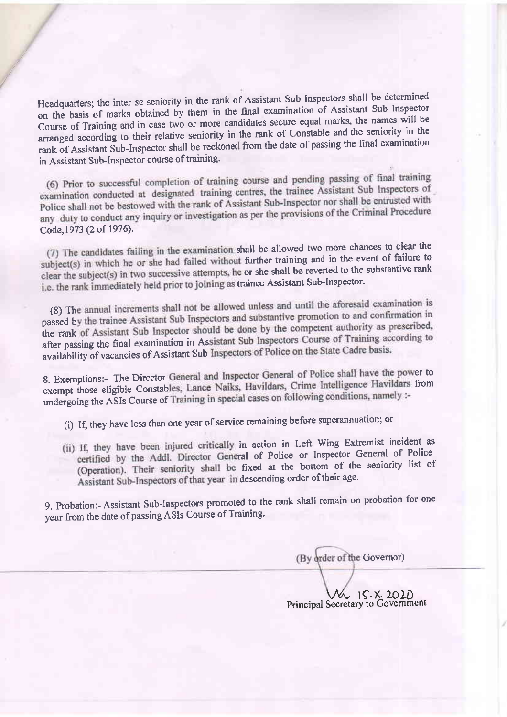Headquarters; the inter se seniority in the rank of Assistant Sub Inspectors shall be determined on the basis of marks obtained by them in the final examination of Assistant Sub Inspector Course of Training and in case two or more candidates secure equal marks, the names will be arranged according to their relative seniority in the rank of Constable and the seniority in the rank of Assistant Sub-Inspector shall be reckoned from the date of passing the final examination in Assistant Sub-Inspector course of training.

(6) Prior to successful completion of training course and pending passing of final training (6) Prior to successful completion of training course and penalty priority of examination conducted at designated training centres, the trainee Assistant Sub Inspectors of examination conducted at designated training centres, the name research of the entrusted with<br>Police shall not be bestowed with the rank of Assistant Sub-Inspector nor shall be entrusted with Police shall not be bestowed with the rank of Assistant Sub-Inspection for state original Procedure<br>any duty to conduct any inquiry or investigation as per the provisions of the Criminal Procedure Code, 1973 (2 of 1976).

(7) The candidates failing in the examination shall be allowed two more chances to clear the subject(s) in which he or she had failed without further training and in the event of failure to clear the subject(s) in two successive attempts, he or she shall be reverted to the substantive rank i.e. the rank immediately held prior to joining as trainee Assistant Sub-Inspector.

(8) The annual increments shall not be allowed unless and until the aforesaid examination is passed by the trainee Assistant Sub Inspectors and substantive promotion to and confirmation in the rank of Assistant Sub Inspector should be done by the competent authority as prescribed, the rank after passing the final examination in As availability of vacancies of Assistant Sub Inspectors of Police on the State Cadre basis.

8. Exemptions:- The Director General and Inspector General of Police shall have the power to exempt those eligible Constables, Lance Naiks, Havildars, Crime Intelligence Havildars from undergoing the ASIs Course of Training in special cases on following conditions, namely :-

(i) If, they have less than one year of service remaining before superannuation; or

(ii) If, they have been injured critically in action in Left Wing Extremist incident as certified by the Addl. Director General of Police or Inspector General of Police (Operation). Their seniority shall be fixed at the bottom of the seniority list of Assistant Sub-Inspectors of that year in descending order of their age.

9. Probation:- Assistant Sub-Inspectors promoted to the rank shall remain on probation for one year from the date of passing ASIs Course of Training.

(By order of the Governor)

W IS.X. 2020<br>Principal Secretary to Government